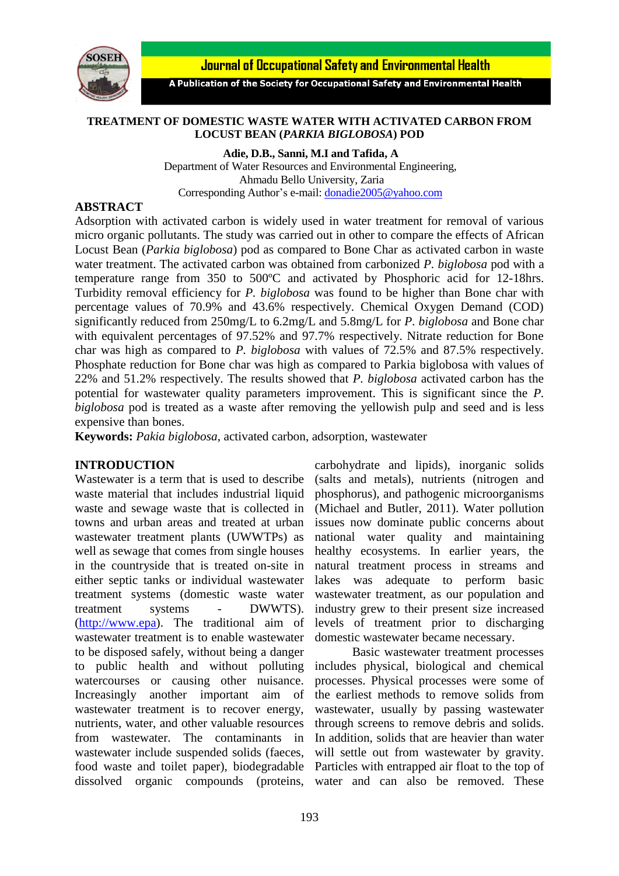

Journal of Occupational Safety and Environmental Health

A Publication of the Society for Occupational Safety and Environmental Health

### **TREATMENT OF DOMESTIC WASTE WATER WITH ACTIVATED CARBON FROM LOCUST BEAN (***PARKIA BIGLOBOSA***) POD**

**Adie, D.B., Sanni, M.I and Tafida, A** Department of Water Resources and Environmental Engineering, Ahmadu Bello University, Zaria Corresponding Author's e-mail: [donadie2005@yahoo.com](mailto:donadie2005@yahoo.com)

## **ABSTRACT**

Adsorption with activated carbon is widely used in water treatment for removal of various micro organic pollutants. The study was carried out in other to compare the effects of African Locust Bean (*Parkia biglobosa*) pod as compared to Bone Char as activated carbon in waste water treatment. The activated carbon was obtained from carbonized *P. biglobosa* pod with a temperature range from 350 to 500ºC and activated by Phosphoric acid for 12-18hrs. Turbidity removal efficiency for *P. biglobosa* was found to be higher than Bone char with percentage values of 70.9% and 43.6% respectively. Chemical Oxygen Demand (COD) significantly reduced from 250mg/L to 6.2mg/L and 5.8mg/L for *P. biglobosa* and Bone char with equivalent percentages of 97.52% and 97.7% respectively. Nitrate reduction for Bone char was high as compared to *P. biglobosa* with values of 72.5% and 87.5% respectively. Phosphate reduction for Bone char was high as compared to Parkia biglobosa with values of 22% and 51.2% respectively. The results showed that *P. biglobosa* activated carbon has the potential for wastewater quality parameters improvement. This is significant since the *P. biglobosa* pod is treated as a waste after removing the yellowish pulp and seed and is less expensive than bones.

**Keywords:** *Pakia biglobosa*, activated carbon, adsorption, wastewater

## **INTRODUCTION**

Wastewater is a term that is used to describe waste material that includes industrial liquid waste and sewage waste that is collected in towns and urban areas and treated at urban wastewater treatment plants (UWWTPs) as well as sewage that comes from single houses in the countryside that is treated on-site in either septic tanks or individual wastewater treatment systems (domestic waste water treatment systems - DWWTS). [\(http://www.epa\)](http://www.epa/). The traditional aim of wastewater treatment is to enable wastewater to be disposed safely, without being a danger to public health and without polluting watercourses or causing other nuisance. Increasingly another important aim of wastewater treatment is to recover energy, nutrients, water, and other valuable resources from wastewater. The contaminants in wastewater include suspended solids (faeces, food waste and toilet paper), biodegradable dissolved organic compounds (proteins,

carbohydrate and lipids), inorganic solids (salts and metals), nutrients (nitrogen and phosphorus), and pathogenic microorganisms (Michael and Butler, 2011). Water pollution issues now dominate public concerns about national water quality and maintaining healthy ecosystems. In earlier years, the natural treatment process in streams and lakes was adequate to perform basic wastewater treatment, as our population and industry grew to their present size increased levels of treatment prior to discharging domestic wastewater became necessary.

Basic wastewater treatment processes includes physical, biological and chemical processes. Physical processes were some of the earliest methods to remove solids from wastewater, usually by passing wastewater through screens to remove debris and solids. In addition, solids that are heavier than water will settle out from wastewater by gravity. Particles with entrapped air float to the top of water and can also be removed. These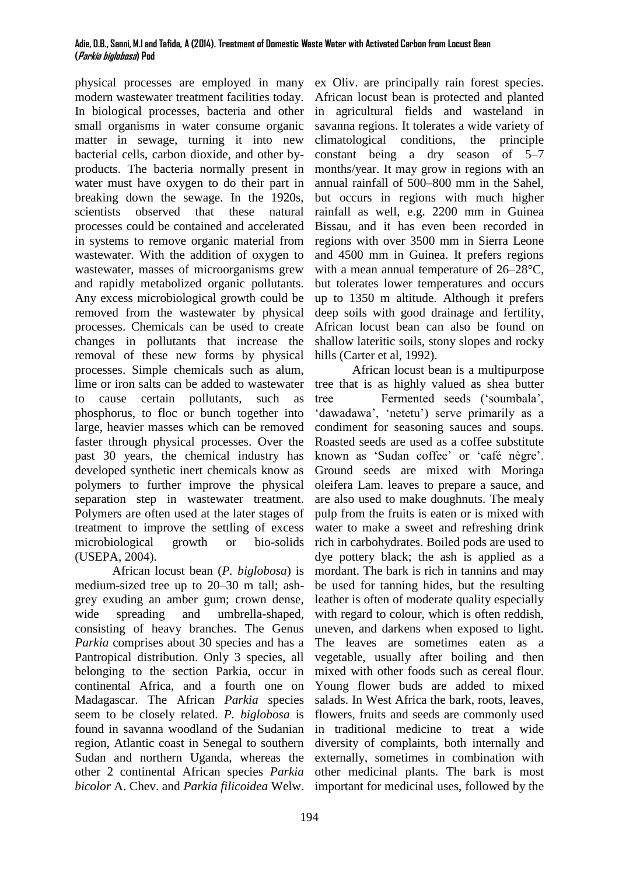#### **Adie, D.B., Sanni, M.I and Tafida, A (2014). Treatment of Domestic Waste Water with Activated Carbon from Locust Bean (Parkia biglobosa) Pod**

physical processes are employed in many modern wastewater treatment facilities today. In biological processes, bacteria and other small organisms in water consume organic matter in sewage, turning it into new bacterial cells, carbon dioxide, and other byproducts. The bacteria normally present in water must have oxygen to do their part in breaking down the sewage. In the 1920s, scientists observed that these natural processes could be contained and accelerated in systems to remove organic material from wastewater. With the addition of oxygen to wastewater, masses of microorganisms grew and rapidly metabolized organic pollutants. Any excess microbiological growth could be removed from the wastewater by physical processes. Chemicals can be used to create changes in pollutants that increase the removal of these new forms by physical processes. Simple chemicals such as alum, lime or iron salts can be added to wastewater to cause certain pollutants, such as phosphorus, to floc or bunch together into large, heavier masses which can be removed faster through physical processes. Over the past 30 years, the chemical industry has developed synthetic inert chemicals know as polymers to further improve the physical separation step in wastewater treatment. Polymers are often used at the later stages of treatment to improve the settling of excess microbiological growth or bio-solids (USEPA, 2004).

African locust bean (*P. biglobosa*) is medium-sized tree up to 20–30 m tall; ashgrey exuding an amber gum; crown dense, wide spreading and umbrella-shaped, consisting of heavy branches. The Genus *Parkia* comprises about 30 species and has a Pantropical distribution. Only 3 species, all belonging to the section Parkia, occur in continental Africa, and a fourth one on Madagascar. The African *Parkia* species seem to be closely related. *P. biglobosa* is found in savanna woodland of the Sudanian region, Atlantic coast in Senegal to southern Sudan and northern Uganda, whereas the other 2 continental African species *Parkia bicolor* A. Chev. and *Parkia filicoidea* Welw.

ex Oliv. are principally rain forest species. African locust bean is protected and planted in agricultural fields and wasteland in savanna regions. It tolerates a wide variety of climatological conditions, the principle constant being a dry season of 5–7 months/year. It may grow in regions with an annual rainfall of 500–800 mm in the Sahel, but occurs in regions with much higher rainfall as well, e.g. 2200 mm in Guinea Bissau, and it has even been recorded in regions with over 3500 mm in Sierra Leone and 4500 mm in Guinea. It prefers regions with a mean annual temperature of 26–28°C, but tolerates lower temperatures and occurs up to 1350 m altitude. Although it prefers deep soils with good drainage and fertility, African locust bean can also be found on shallow lateritic soils, stony slopes and rocky hills (Carter et al, 1992).

African locust bean is a multipurpose tree that is as highly valued as shea butter tree Fermented seeds ('soumbala', 'dawadawa', 'netetu') serve primarily as a condiment for seasoning sauces and soups. Roasted seeds are used as a coffee substitute known as 'Sudan coffee' or 'café nègre'. Ground seeds are mixed with Moringa oleifera Lam. leaves to prepare a sauce, and are also used to make doughnuts. The mealy pulp from the fruits is eaten or is mixed with water to make a sweet and refreshing drink rich in carbohydrates. Boiled pods are used to dye pottery black; the ash is applied as a mordant. The bark is rich in tannins and may be used for tanning hides, but the resulting leather is often of moderate quality especially with regard to colour, which is often reddish, uneven, and darkens when exposed to light. The leaves are sometimes eaten as a vegetable, usually after boiling and then mixed with other foods such as cereal flour. Young flower buds are added to mixed salads. In West Africa the bark, roots, leaves, flowers, fruits and seeds are commonly used in traditional medicine to treat a wide diversity of complaints, both internally and externally, sometimes in combination with other medicinal plants. The bark is most important for medicinal uses, followed by the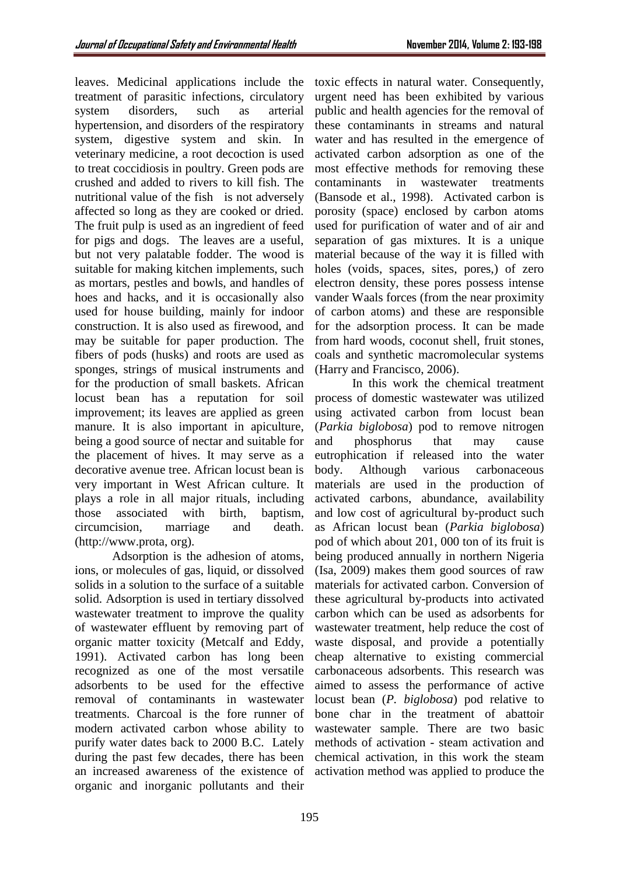leaves. Medicinal applications include the treatment of parasitic infections, circulatory system disorders, such as arterial hypertension, and disorders of the respiratory system, digestive system and skin. In veterinary medicine, a root decoction is used to treat coccidiosis in poultry. Green pods are crushed and added to rivers to kill fish. The nutritional value of the fish is not adversely affected so long as they are cooked or dried. The fruit pulp is used as an ingredient of feed for pigs and dogs. The leaves are a useful, but not very palatable fodder. The wood is suitable for making kitchen implements, such as mortars, pestles and bowls, and handles of hoes and hacks, and it is occasionally also used for house building, mainly for indoor construction. It is also used as firewood, and may be suitable for paper production. The fibers of pods (husks) and roots are used as sponges, strings of musical instruments and for the production of small baskets. African locust bean has a reputation for soil improvement; its leaves are applied as green manure. It is also important in apiculture, being a good source of nectar and suitable for the placement of hives. It may serve as a decorative avenue tree. African locust bean is very important in West African culture. It plays a role in all major rituals, including those associated with birth, baptism, circumcision, marriage and death. (http://www.prota, org).

Adsorption is the adhesion of atoms, ions, or molecules of gas, liquid, or dissolved solids in a solution to the surface of a suitable solid. Adsorption is used in tertiary dissolved wastewater treatment to improve the quality of wastewater effluent by removing part of organic matter toxicity (Metcalf and Eddy, 1991). Activated carbon has long been recognized as one of the most versatile adsorbents to be used for the effective removal of contaminants in wastewater treatments. Charcoal is the fore runner of modern activated carbon whose ability to purify water dates back to 2000 B.C. Lately during the past few decades, there has been an increased awareness of the existence of organic and inorganic pollutants and their

toxic effects in natural water. Consequently, urgent need has been exhibited by various public and health agencies for the removal of these contaminants in streams and natural water and has resulted in the emergence of activated carbon adsorption as one of the most effective methods for removing these contaminants in wastewater treatments (Bansode et al., 1998). Activated carbon is porosity (space) enclosed by carbon atoms used for purification of water and of air and separation of gas mixtures. It is a unique material because of the way it is filled with holes (voids, spaces, sites, pores,) of zero electron density, these pores possess intense vander Waals forces (from the near proximity of carbon atoms) and these are responsible for the adsorption process. It can be made from hard woods, coconut shell, fruit stones, coals and synthetic macromolecular systems (Harry and Francisco, 2006).

In this work the chemical treatment process of domestic wastewater was utilized using activated carbon from locust bean (*Parkia biglobosa*) pod to remove nitrogen and phosphorus that may cause eutrophication if released into the water body. Although various carbonaceous materials are used in the production of activated carbons, abundance, availability and low cost of agricultural by-product such as African locust bean (*Parkia biglobosa*) pod of which about 201, 000 ton of its fruit is being produced annually in northern Nigeria (Isa, 2009) makes them good sources of raw materials for activated carbon. Conversion of these agricultural by-products into activated carbon which can be used as adsorbents for wastewater treatment, help reduce the cost of waste disposal, and provide a potentially cheap alternative to existing commercial carbonaceous adsorbents. This research was aimed to assess the performance of active locust bean (*P. biglobosa*) pod relative to bone char in the treatment of abattoir wastewater sample. There are two basic methods of activation - steam activation and chemical activation, in this work the steam activation method was applied to produce the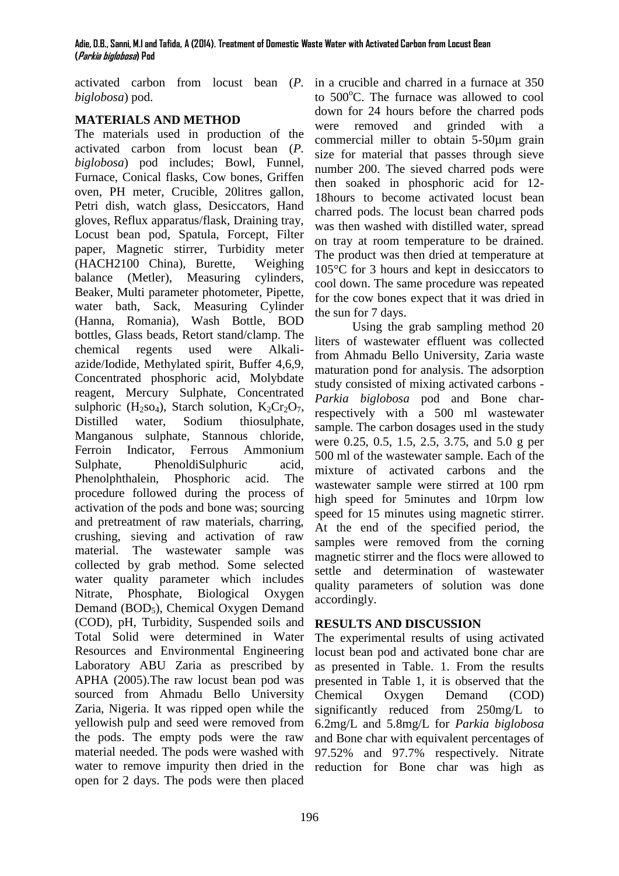activated carbon from locust bean (*P. biglobosa*) pod.

# **MATERIALS AND METHOD**

The materials used in production of the activated carbon from locust bean (*P. biglobosa*) pod includes; Bowl, Funnel, Furnace, Conical flasks, Cow bones, Griffen oven, PH meter, Crucible, 20litres gallon, Petri dish, watch glass, Desiccators, Hand gloves, Reflux apparatus/flask, Draining tray, Locust bean pod, Spatula, Forcept, Filter paper, Magnetic stirrer, Turbidity meter (HACH2100 China), Burette, Weighing balance (Metler), Measuring cylinders, Beaker, Multi parameter photometer, Pipette, water bath, Sack, Measuring Cylinder (Hanna, Romania), Wash Bottle, BOD bottles, Glass beads, Retort stand/clamp. The chemical regents used were Alkaliazide/Iodide, Methylated spirit, Buffer 4,6,9, Concentrated phosphoric acid, Molybdate reagent, Mercury Sulphate, Concentrated sulphoric (H<sub>2</sub>SO<sub>4</sub>), Starch solution, K<sub>2</sub>Cr<sub>2</sub>O<sub>7</sub>, Distilled water, Sodium thiosulphate, Manganous sulphate, Stannous chloride, Ferroin Indicator, Ferrous Ammonium Sulphate, PhenoldiSulphuric acid, Phenolphthalein, Phosphoric acid. The procedure followed during the process of activation of the pods and bone was; sourcing and pretreatment of raw materials, charring, crushing, sieving and activation of raw material. The wastewater sample was collected by grab method. Some selected water quality parameter which includes Nitrate, Phosphate, Biological Oxygen Demand (BOD<sub>5</sub>), Chemical Oxygen Demand (COD), pH, Turbidity, Suspended soils and Total Solid were determined in Water Resources and Environmental Engineering Laboratory ABU Zaria as prescribed by APHA (2005).The raw locust bean pod was sourced from Ahmadu Bello University Zaria, Nigeria. It was ripped open while the yellowish pulp and seed were removed from the pods. The empty pods were the raw material needed. The pods were washed with water to remove impurity then dried in the open for 2 days. The pods were then placed

in a crucible and charred in a furnace at 350 to 500°C. The furnace was allowed to cool down for 24 hours before the charred pods were removed and grinded with a commercial miller to obtain 5-50µm grain size for material that passes through sieve number 200. The sieved charred pods were then soaked in phosphoric acid for 12- 18hours to become activated locust bean charred pods. The locust bean charred pods was then washed with distilled water, spread on tray at room temperature to be drained. The product was then dried at temperature at 105°C for 3 hours and kept in desiccators to cool down. The same procedure was repeated for the cow bones expect that it was dried in the sun for 7 days.

Using the grab sampling method 20 liters of wastewater effluent was collected from Ahmadu Bello University, Zaria waste maturation pond for analysis. The adsorption study consisted of mixing activated carbons - *Parkia biglobosa* pod and Bone charrespectively with a 500 ml wastewater sample. The carbon dosages used in the study were 0.25, 0.5, 1.5, 2.5, 3.75, and 5.0 g per 500 ml of the wastewater sample. Each of the mixture of activated carbons and the wastewater sample were stirred at 100 rpm high speed for 5minutes and 10rpm low speed for 15 minutes using magnetic stirrer. At the end of the specified period, the samples were removed from the corning magnetic stirrer and the flocs were allowed to settle and determination of wastewater quality parameters of solution was done accordingly.

### **RESULTS AND DISCUSSION**

The experimental results of using activated locust bean pod and activated bone char are as presented in Table. 1. From the results presented in Table 1, it is observed that the Chemical Oxygen Demand (COD) significantly reduced from 250mg/L to 6.2mg/L and 5.8mg/L for *Parkia biglobosa* and Bone char with equivalent percentages of 97.52% and 97.7% respectively. Nitrate reduction for Bone char was high as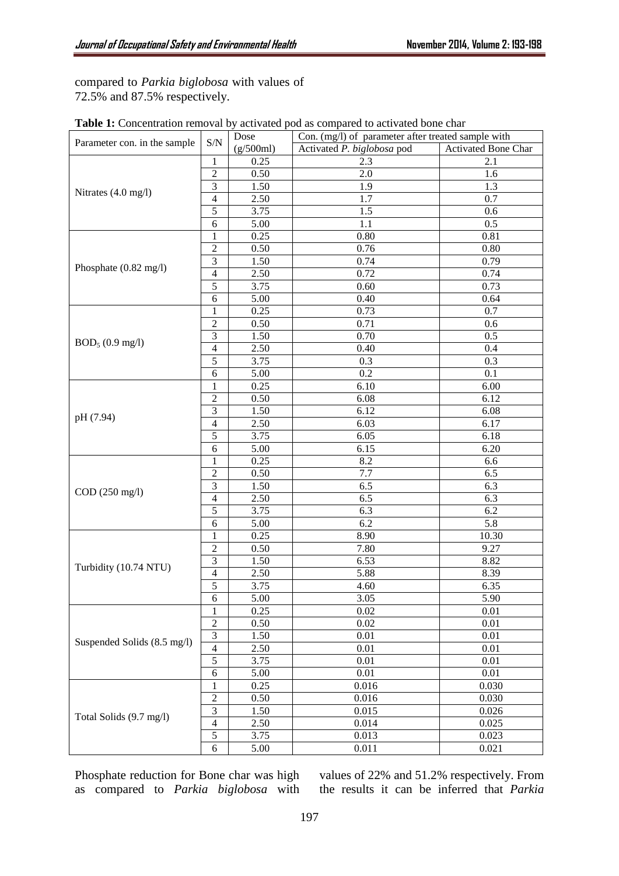compared to *Parkia biglobosa* with values of 72.5% and 87.5% respectively.

|                                 |                             | Dose      | <b>Table 1.</b> Concentration removal by activated pou as compared to activated bone char<br>Con. (mg/l) of parameter after treated sample with |                     |
|---------------------------------|-----------------------------|-----------|-------------------------------------------------------------------------------------------------------------------------------------------------|---------------------|
| Parameter con. in the sample    | $\ensuremath{\mathrm{S/N}}$ | (g/500ml) | Activated P. biglobosa pod                                                                                                                      | Activated Bone Char |
| Nitrates (4.0 mg/l)             | 1                           | 0.25      | 2.3                                                                                                                                             | 2.1                 |
|                                 | $\overline{2}$              | 0.50      | 2.0                                                                                                                                             | 1.6                 |
|                                 | $\overline{3}$              | 1.50      | 1.9                                                                                                                                             | 1.3                 |
|                                 | $\overline{4}$              | 2.50      | 1.7                                                                                                                                             | 0.7                 |
|                                 | $\overline{5}$              | 3.75      | 1.5                                                                                                                                             | 0.6                 |
|                                 | 6                           | 5.00      | 1.1                                                                                                                                             | 0.5                 |
| Phosphate (0.82 mg/l)           | 1                           | 0.25      | 0.80                                                                                                                                            | 0.81                |
|                                 | $\overline{2}$              | 0.50      | 0.76                                                                                                                                            | 0.80                |
|                                 | 3                           | 1.50      | 0.74                                                                                                                                            | 0.79                |
|                                 | $\overline{4}$              | 2.50      | 0.72                                                                                                                                            | 0.74                |
|                                 | 5                           | 3.75      | 0.60                                                                                                                                            | 0.73                |
|                                 | 6                           | 5.00      | 0.40                                                                                                                                            | 0.64                |
| $BOD_5 (0.9 mg/l)$<br>pH (7.94) | 1                           | 0.25      | 0.73                                                                                                                                            | 0.7                 |
|                                 | $\overline{2}$              | 0.50      | 0.71                                                                                                                                            | 0.6                 |
|                                 | 3                           | 1.50      | 0.70                                                                                                                                            | 0.5                 |
|                                 | $\overline{4}$              | 2.50      | 0.40                                                                                                                                            | 0.4                 |
|                                 | $\overline{5}$              | 3.75      | 0.3                                                                                                                                             | 0.3                 |
|                                 | 6                           | 5.00      | 0.2                                                                                                                                             | 0.1                 |
|                                 | 1                           | 0.25      | 6.10                                                                                                                                            | 6.00                |
|                                 | $\mathfrak{2}$              | 0.50      | 6.08                                                                                                                                            | 6.12                |
|                                 | $\overline{3}$              | 1.50      | 6.12                                                                                                                                            | 6.08                |
|                                 | $\overline{4}$              | 2.50      | 6.03                                                                                                                                            | 6.17                |
|                                 | $\overline{5}$              | 3.75      | 6.05                                                                                                                                            | 6.18                |
|                                 | 6                           | 5.00      | 6.15                                                                                                                                            | 6.20                |
| COD (250 mg/l)                  | 1                           | 0.25      | 8.2                                                                                                                                             | 6.6                 |
|                                 | $\overline{2}$              | 0.50      | 7.7                                                                                                                                             | 6.5                 |
|                                 | 3                           | 1.50      | 6.5                                                                                                                                             | 6.3                 |
|                                 | $\overline{4}$              | 2.50      | 6.5                                                                                                                                             | 6.3                 |
|                                 | 5                           | 3.75      | 6.3                                                                                                                                             | 6.2                 |
|                                 | 6                           | 5.00      | 6.2                                                                                                                                             | 5.8                 |
| Turbidity (10.74 NTU)           | 1                           | 0.25      | 8.90                                                                                                                                            | 10.30               |
|                                 | $\overline{2}$              | 0.50      | 7.80                                                                                                                                            | 9.27                |
|                                 | $\overline{3}$              | 1.50      | 6.53                                                                                                                                            | 8.82                |
|                                 | $\overline{4}$              | 2.50      | 5.88                                                                                                                                            | 8.39                |
|                                 | $\overline{5}$              | 3.75      | 4.60                                                                                                                                            | 6.35                |
|                                 | $\sqrt{6}$                  | 5.00      | 3.05                                                                                                                                            | 5.90                |
| Suspended Solids (8.5 mg/l)     | 1                           | 0.25      | 0.02                                                                                                                                            | 0.01                |
|                                 | $\overline{2}$              | 0.50      | 0.02                                                                                                                                            | 0.01                |
|                                 | $\overline{3}$              | 1.50      | 0.01                                                                                                                                            | 0.01                |
|                                 | $\overline{4}$              | 2.50      | 0.01                                                                                                                                            | 0.01                |
|                                 | $\overline{5}$              | 3.75      | 0.01                                                                                                                                            | 0.01                |
|                                 | 6                           | 5.00      | 0.01                                                                                                                                            | 0.01                |
| Total Solids (9.7 mg/l)         | 1                           | 0.25      | 0.016                                                                                                                                           | 0.030               |
|                                 | $\overline{2}$              | 0.50      | 0.016                                                                                                                                           | 0.030               |
|                                 | 3                           | 1.50      | 0.015                                                                                                                                           | 0.026               |
|                                 | $\overline{4}$              | 2.50      | 0.014                                                                                                                                           | 0.025               |
|                                 | $\mathfrak s$               | 3.75      | 0.013                                                                                                                                           | 0.023               |
|                                 | 6                           | 5.00      | 0.011                                                                                                                                           | 0.021               |

| Table 1: Concentration removal by activated pod as compared to activated bone char |  |
|------------------------------------------------------------------------------------|--|
|------------------------------------------------------------------------------------|--|

Phosphate reduction for Bone char was high as compared to *Parkia biglobosa* with

values of 22% and 51.2% respectively. From the results it can be inferred that *Parkia*